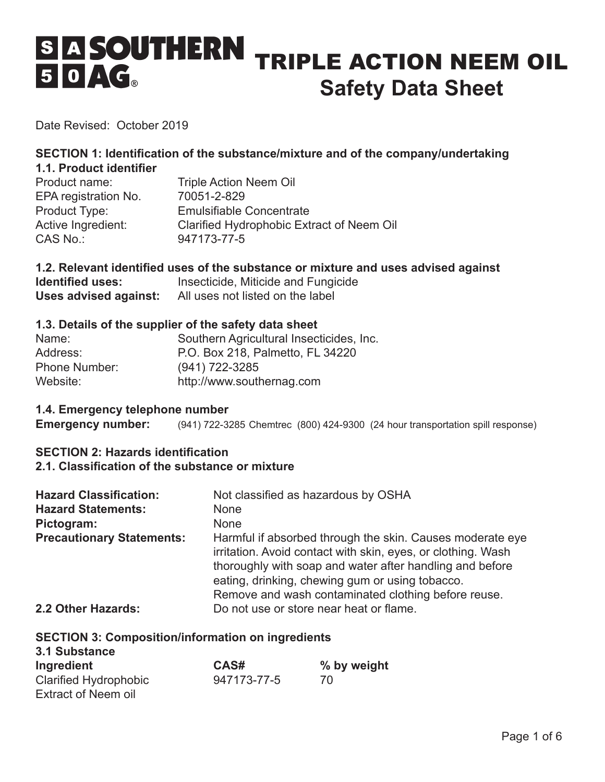# SES SOUTHERN TRIPLE ACTION NEEM OIL  $50AG_*$ **Safety Data Sheet**

Date Revised: October 2019

#### **SECTION 1: Identification of the substance/mixture and of the company/undertaking 1.1. Product identifier**

| <b>Triple Action Neem Oil</b>             |
|-------------------------------------------|
| 70051-2-829                               |
| <b>Emulsifiable Concentrate</b>           |
| Clarified Hydrophobic Extract of Neem Oil |
| 947173-77-5                               |
|                                           |

# **1.2. Relevant identified uses of the substance or mixture and uses advised against**

**Identified uses:** Insecticide, Miticide and Fungicide **Uses advised against:** All uses not listed on the label

#### **1.3. Details of the supplier of the safety data sheet**

| Name:                | Southern Agricultural Insecticides, Inc. |
|----------------------|------------------------------------------|
| Address:             | P.O. Box 218, Palmetto, FL 34220         |
| <b>Phone Number:</b> | $(941)$ 722-3285                         |
| Website:             | http://www.southernag.com                |

#### **1.4. Emergency telephone number**

**Emergency number:** (941) 722-3285 Chemtrec (800) 424-9300 (24 hour transportation spill response)

## **SECTION 2: Hazards identification**

#### **2.1. Classification of the substance or mixture**

| <b>Hazard Classification:</b>    | Not classified as hazardous by OSHA                                                                                                                                                                                                                                                             |
|----------------------------------|-------------------------------------------------------------------------------------------------------------------------------------------------------------------------------------------------------------------------------------------------------------------------------------------------|
| <b>Hazard Statements:</b>        | <b>None</b>                                                                                                                                                                                                                                                                                     |
| Pictogram:                       | <b>None</b>                                                                                                                                                                                                                                                                                     |
| <b>Precautionary Statements:</b> | Harmful if absorbed through the skin. Causes moderate eye<br>irritation. Avoid contact with skin, eyes, or clothing. Wash<br>thoroughly with soap and water after handling and before<br>eating, drinking, chewing gum or using tobacco.<br>Remove and wash contaminated clothing before reuse. |
| 2.2 Other Hazards:               | Do not use or store near heat or flame.                                                                                                                                                                                                                                                         |

#### **SECTION 3: Composition/information on ingredients**

| 3.1 Substance                |             |             |
|------------------------------|-------------|-------------|
| Ingredient                   | CAS#        | % by weight |
| <b>Clarified Hydrophobic</b> | 947173-77-5 | 70          |
| <b>Extract of Neem oil</b>   |             |             |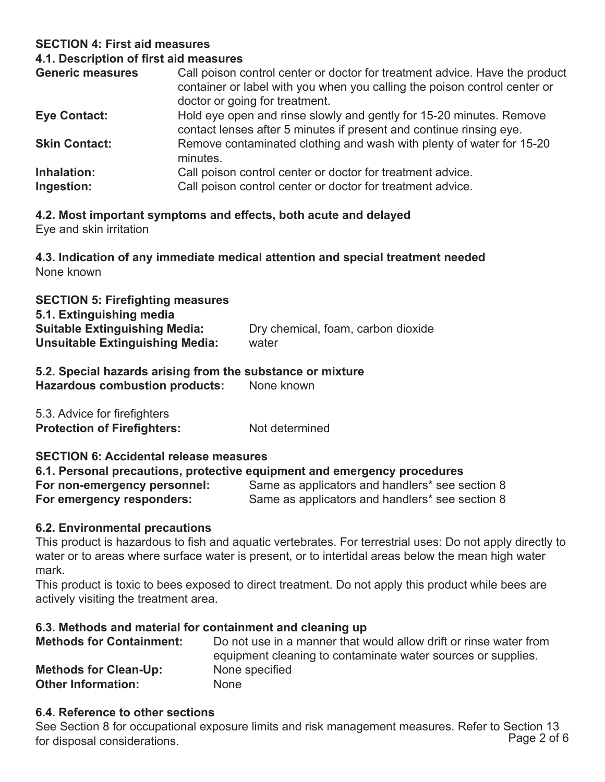# **SECTION 4: First aid measures**

#### **4.1. Description of first aid measures**

| <b>Generic measures</b>   | Call poison control center or doctor for treatment advice. Have the product<br>container or label with you when you calling the poison control center or<br>doctor or going for treatment. |
|---------------------------|--------------------------------------------------------------------------------------------------------------------------------------------------------------------------------------------|
| <b>Eye Contact:</b>       | Hold eye open and rinse slowly and gently for 15-20 minutes. Remove<br>contact lenses after 5 minutes if present and continue rinsing eye.                                                 |
| <b>Skin Contact:</b>      | Remove contaminated clothing and wash with plenty of water for 15-20<br>minutes.                                                                                                           |
| Inhalation:<br>Ingestion: | Call poison control center or doctor for treatment advice.<br>Call poison control center or doctor for treatment advice.                                                                   |

# **4.2. Most important symptoms and effects, both acute and delayed**

Eye and skin irritation

# **4.3. Indication of any immediate medical attention and special treatment needed**  None known

| <b>SECTION 5: Firefighting measures</b> |                                    |
|-----------------------------------------|------------------------------------|
| 5.1. Extinguishing media                |                                    |
| <b>Suitable Extinguishing Media:</b>    | Dry chemical, foam, carbon dioxide |
| Unsuitable Extinguishing Media:         | water                              |

#### **5.2. Special hazards arising from the substance or mixture Hazardous combustion products:** None known

| 5.3. Advice for firefighters       |                |
|------------------------------------|----------------|
| <b>Protection of Firefighters:</b> | Not determined |

# **SECTION 6: Accidental release measures**

#### **6.1. Personal precautions, protective equipment and emergency procedures For non-emergency personnel:** Same as applicators and handlers\* see section 8 **For emergency responders:** Same as applicators and handlers\* see section 8

# **6.2. Environmental precautions**

This product is hazardous to fish and aquatic vertebrates. For terrestrial uses: Do not apply directly to water or to areas where surface water is present, or to intertidal areas below the mean high water mark.

This product is toxic to bees exposed to direct treatment. Do not apply this product while bees are actively visiting the treatment area.

#### **6.3. Methods and material for containment and cleaning up**

| <b>Methods for Containment:</b> | Do not use in a manner that would allow drift or rinse water from |
|---------------------------------|-------------------------------------------------------------------|
|                                 | equipment cleaning to contaminate water sources or supplies.      |
| <b>Methods for Clean-Up:</b>    | None specified                                                    |
| <b>Other Information:</b>       | <b>None</b>                                                       |

#### **6.4. Reference to other sections**

See Section 8 for occupational exposure limits and risk management measures. Refer to Section 13 for disposal considerations.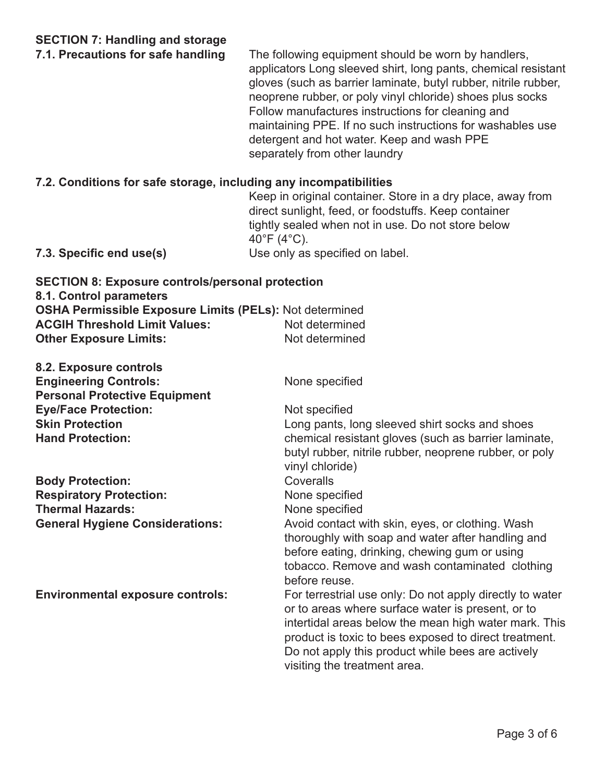**7.1. Precautions for safe handling** The following equipment should be worn by handlers, applicators Long sleeved shirt, long pants, chemical resistant gloves (such as barrier laminate, butyl rubber, nitrile rubber, neoprene rubber, or poly vinyl chloride) shoes plus socks Follow manufactures instructions for cleaning and maintaining PPE. If no such instructions for washables use detergent and hot water. Keep and wash PPE separately from other laundry

#### **7.2. Conditions for safe storage, including any incompatibilities**

Keep in original container. Store in a dry place, away from direct sunlight, feed, or foodstuffs. Keep container tightly sealed when not in use. Do not store below 40°F (4°C).

**7.3. Specific end use(s)** Use only as specified on label.

| <b>SECTION 8: Exposure controls/personal protection</b><br>8.1. Control parameters |                |
|------------------------------------------------------------------------------------|----------------|
| <b>OSHA Permissible Exposure Limits (PELs): Not determined</b>                     |                |
| <b>ACGIH Threshold Limit Values:</b>                                               | Not determined |
| <b>Other Exposure Limits:</b>                                                      | Not determined |

**8.2. Exposure controls Engineering Controls:** None specified **Personal Protective Equipment Eye/Face Protection: Not specified Solid Protection**<br> **Skin Protection** 

**Body Protection: Coveralls Respiratory Protection:** None specified **Thermal Hazards:** None specified

Long pants, long sleeved shirt socks and shoes **Hand Protection:** chemical resistant gloves (such as barrier laminate, butyl rubber, nitrile rubber, neoprene rubber, or poly vinyl chloride)

**General Hygiene Considerations:** Avoid contact with skin, eyes, or clothing. Wash thoroughly with soap and water after handling and before eating, drinking, chewing gum or using tobacco. Remove and wash contaminated clothing before reuse.

**Environmental exposure controls:** For terrestrial use only: Do not apply directly to water or to areas where surface water is present, or to intertidal areas below the mean high water mark. This product is toxic to bees exposed to direct treatment. Do not apply this product while bees are actively visiting the treatment area.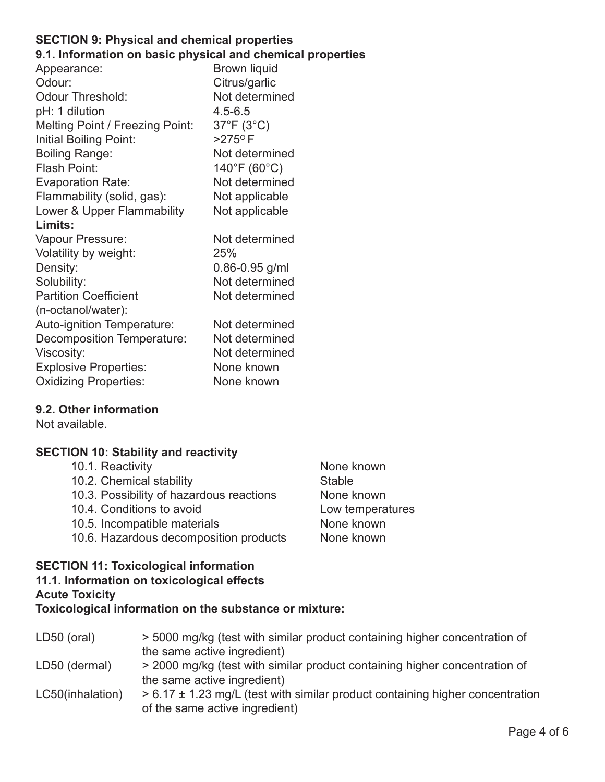#### **SECTION 9: Physical and chemical properties 9.1. Information on basic physical and chemical properties**

| Appearance:                            | <b>Brown liquid</b>               |
|----------------------------------------|-----------------------------------|
| Odour:                                 | Citrus/garlic                     |
| <b>Odour Threshold:</b>                | Not determined                    |
| pH: 1 dilution                         | $4.5 - 6.5$                       |
| <b>Melting Point / Freezing Point:</b> | $37^{\circ}$ F (3 $^{\circ}$ C)   |
| Initial Boiling Point:                 | $>275$ <sup>o</sup> F             |
| <b>Boiling Range:</b>                  | Not determined                    |
| Flash Point:                           | $140^{\circ}$ F (60 $^{\circ}$ C) |
| <b>Evaporation Rate:</b>               | Not determined                    |
| Flammability (solid, gas):             | Not applicable                    |
| Lower & Upper Flammability             | Not applicable                    |
| Limits:                                |                                   |
| Vapour Pressure:                       | Not determined                    |
| Volatility by weight:                  | 25%                               |
| Density:                               | $0.86 - 0.95$ g/ml                |
| Solubility:                            | Not determined                    |
| <b>Partition Coefficient</b>           | Not determined                    |
| (n-octanol/water):                     |                                   |
| Auto-ignition Temperature:             | Not determined                    |
| Decomposition Temperature:             | Not determined                    |
| Viscosity:                             | Not determined                    |
| <b>Explosive Properties:</b>           | None known                        |
| <b>Oxidizing Properties:</b>           | None known                        |
|                                        |                                   |

# **9.2. Other information**

Not available.

# **SECTION 10: Stability and reactivity**

| 10.1. Reactivity                         | None known       |
|------------------------------------------|------------------|
| 10.2. Chemical stability                 | <b>Stable</b>    |
| 10.3. Possibility of hazardous reactions | None known       |
| 10.4. Conditions to avoid                | Low temperatures |
| 10.5. Incompatible materials             | None known       |
| 10.6. Hazardous decomposition products   | None known       |
|                                          |                  |
|                                          |                  |

#### **SECTION 11: Toxicological information 11.1. Information on toxicological effects**

# **Acute Toxicity**

**Toxicological information on the substance or mixture:** 

| LD50 (oral)      | > 5000 mg/kg (test with similar product containing higher concentration of<br>the same active ingredient)           |
|------------------|---------------------------------------------------------------------------------------------------------------------|
| LD50 (dermal)    | > 2000 mg/kg (test with similar product containing higher concentration of<br>the same active ingredient)           |
| LC50(inhalation) | $> 6.17 \pm 1.23$ mg/L (test with similar product containing higher concentration<br>of the same active ingredient) |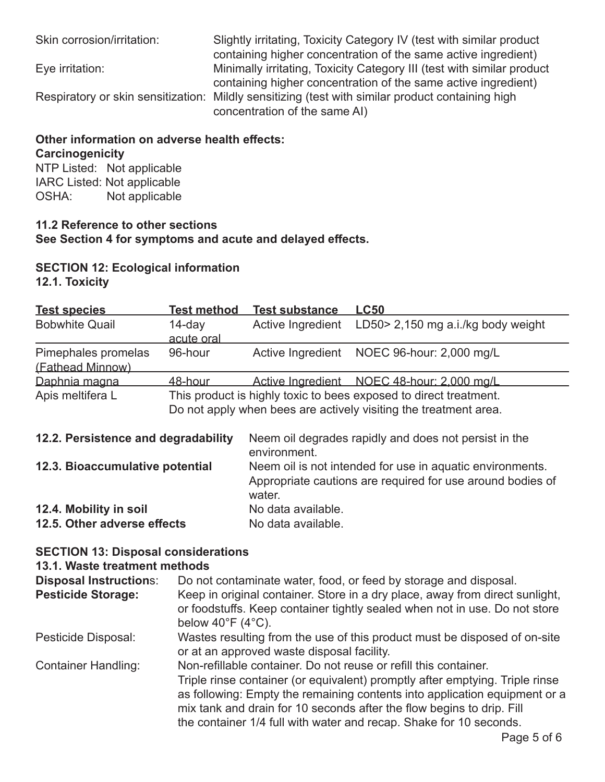Skin corrosion/irritation: Slightly irritating, Toxicity Category IV (test with similar product containing higher concentration of the same active ingredient) Eye irritation: Minimally irritating, Toxicity Category III (test with similar product containing higher concentration of the same active ingredient) Respiratory or skin sensitization: Mildly sensitizing (test with similar product containing high concentration of the same AI)

# **Other information on adverse health effects: Carcinogenicity**

NTP Listed: Not applicable IARC Listed: Not applicable OSHA: Not applicable

#### **11.2 Reference to other sections See Section 4 for symptoms and acute and delayed effects.**

**SECTION 12: Ecological information** 

**12.1. Toxicity** 

| <b>Test species</b>                     | <b>Test method</b>   | <b>Test substance</b>                                                                                                                 | $\mathsf{L}$ C50                                      |  |  |
|-----------------------------------------|----------------------|---------------------------------------------------------------------------------------------------------------------------------------|-------------------------------------------------------|--|--|
| <b>Bobwhite Quail</b>                   | 14-day<br>acute oral | Active Ingredient                                                                                                                     | LD50> 2,150 mg a.i./kg body weight                    |  |  |
| Pimephales promelas<br>(Fathead Minnow) | 96-hour              |                                                                                                                                       | Active Ingredient NOEC 96-hour: 2,000 mg/L            |  |  |
| Daphnia magna                           | <u>48-hour</u>       |                                                                                                                                       | Active Ingredient NOEC 48-hour: 2,000 mg/L            |  |  |
| Apis meltifera L                        |                      | This product is highly toxic to bees exposed to direct treatment.<br>Do not apply when bees are actively visiting the treatment area. |                                                       |  |  |
| 12.2. Persistence and degradability     |                      | environment.                                                                                                                          | Neem oil degrades rapidly and does not persist in the |  |  |
| 12.3. Bioaccumulative potential         |                      | Neem oil is not intended for use in aquatic environments.<br>Appropriate cautions are required for use around bodies of<br>water.     |                                                       |  |  |
| 12.4. Mobility in soil                  |                      | No data available.                                                                                                                    |                                                       |  |  |
| 12.5. Other adverse effects             |                      | No data available.                                                                                                                    |                                                       |  |  |

# **SECTION 13: Disposal considerations**

# **13.1. Waste treatment methods**

| <b>Disposal Instructions:</b><br><b>Pesticide Storage:</b> | Do not contaminate water, food, or feed by storage and disposal.<br>Keep in original container. Store in a dry place, away from direct sunlight,<br>or foodstuffs. Keep container tightly sealed when not in use. Do not store<br>below $40^{\circ}$ F ( $4^{\circ}$ C).                                                                                                      |
|------------------------------------------------------------|-------------------------------------------------------------------------------------------------------------------------------------------------------------------------------------------------------------------------------------------------------------------------------------------------------------------------------------------------------------------------------|
| Pesticide Disposal:                                        | Wastes resulting from the use of this product must be disposed of on-site<br>or at an approved waste disposal facility.                                                                                                                                                                                                                                                       |
| <b>Container Handling:</b>                                 | Non-refillable container. Do not reuse or refill this container.<br>Triple rinse container (or equivalent) promptly after emptying. Triple rinse<br>as following: Empty the remaining contents into application equipment or a<br>mix tank and drain for 10 seconds after the flow begins to drip. Fill<br>the container 1/4 full with water and recap. Shake for 10 seconds. |